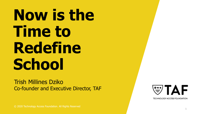# **Now is the Time to Redefine School**

Trish Millines Dziko Co -founder and Executive Director, TAF



**TECHNOLOGY ACCESS FOUNDATION** 

© 2020 Technology Access Foundation. All Rights Reserved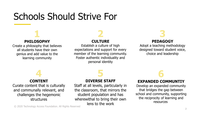## Schools Should Strive For

#### **1 PHILOSOPHY**

Create a philosophy that believes all students have their own genius and add value to the learning community

## **2**

#### **CULTURE**

Establish a culture of high expectations and support for every member of the learning community. Foster authentic individuality and personal identity

## **3**

#### **PEDAGOGY**

Adopt a teaching methodology designed toward student voice, choice and leadership

### **4**

#### **CONTENT**

Curate content that is culturally and communally relevant, and challenges the hegemonic structures

#### **DIVERSE STAFF**

**5**

Staff at all levels, particularly in the classroom, that mirrors the student population and has wherewithal to bring their own lens to the work

## **6**

#### **EXPANDED COMMUNTIY**

Develop an expanded community that bridges the gap between school and community, supporting the reciprocity of learning and resources

© 2020 Technology Access Foundation. All Rights Reserved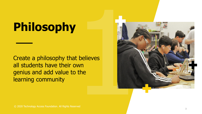# **Philosophy**

Create a philosophy that believes all students have their own genius and add value to the learning community

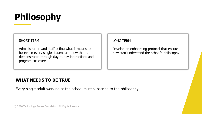## **Philosophy**

#### SHORT TERM

Administration and staff define what it means to believe in every single student and how that is demonstrated through day to day interactions and program structure

#### LONG TERM

Develop an onboarding protocol that ensure new staff understand the school's philosophy

4

#### **WHAT NEEDS TO BE TRUE**

Every single adult working at the school must subscribe to the philosophy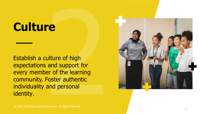## **Culture**

Establish a culture of high expectations and support for every member of the learning community. Foster authentic individuality and personal identity .

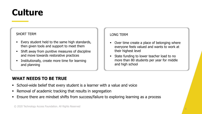## **Culture**

#### SHORT TERM

- Every student held to the same high standards, then given tools and support to meet them
- Shift away from punitive measures of discipline and move towards restorative practices
- Institutionally, create more time for learning and planning

#### LONG TERM

- Over time create a place of belonging where everyone feels valued and wants to work at their highest level
- State funding to lower teacher load to no more than 80 students per year for middle and high school

- **EX School-wide belief that every student is a learner with a value and voice**
- Removal of academic tracking that results in segregation
- **E** Ensure there are mindset shifts from success/failure to exploring learning as a process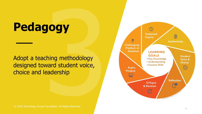## **Pedagogy**

Adopt a teaching methodology designed toward student voice, choice and leadership

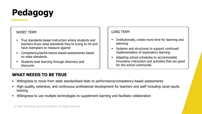

#### SHORT TERM

- True standards-based instruction where students and teachers know what standards they're trying to hit and have exemplars to measure against
- Competency/performance-based assessments based on state standards
- Students lead learning through discovery and discourse

#### LONG TERM

- **EXECUTE:** Institutionally, create more time for learning and planning
- Systems and structures to support continued implementation of exploratory learning
- Adapting school schedules to accommodate innovative instruction and activities that are good for the school community

- Willingness to move from state standardized tests to performance/competency-based assessments
- High quality, extensive, and continuous professional development for teachers and staff including racial equity training
- Willingness to use multiple technologies to supplement learning and facilitate collaboration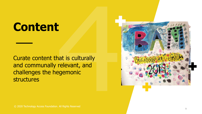## **Content**

Curate content that is culturally and communally relevant, and challenges the hegemonic structures

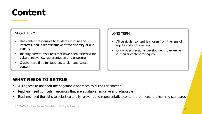### **Content**

#### SHORT TERM

- Use content responsive to student's culture and interests, and is representative of the diversity of our country
- Identify current resources that have been assessed for cultural relevancy, representation and exposure
- Create more time for teachers to plan and select content

#### LONG TERM

- **EXECUTE:** All curricular content is chosen from the lens of equity and inclusiveness
- Ongoing professional development to examine curricular content for equity

- Willingness to abandon the hegemonic approach to curricular content
- Teachers need curricular resources that are equitable, inclusive and adaptable
- Teachers need the skills to select culturally relevant and representative content that meets the learning standards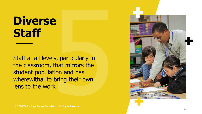## **Diverse Staff**

Staff at all levels, particularly in the classroom, that mirrors the student population and has wherewithal to bring their own lens to the work

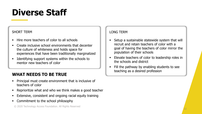### **Diverse Staff**

#### SHORT TERM

- Hire more teachers of color to all schools
- Create inclusive school environments that decenter the culture of whiteness and holds space for experiences that have been traditionally marginalized
- Identifying support systems within the schools to mentor new teachers of color

#### **WHAT NEEDS TO BE TRUE**

- Principal must create environment that is inclusive of teachers of color
- Reprioritize what and who we think makes a good teacher
- **Extensive, consistent and ongoing racial equity training**
- Commitment to the school philosophy

#### LONG TERM

- Setup a sustainable statewide system that will recruit and retain teachers of color with a goal of having the teachers of color mirror the population of their schools
- Elevate teachers of color to leadership roles in the schools and district
- Fill the pathway by enabling students to see teaching as a desired profession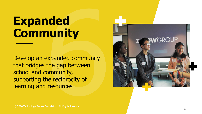## **Expanded Community**

Develop an expanded community that bridges the gap between school and community, supporting the reciprocity of learning and resources

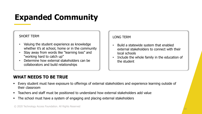### **Expanded Community**

#### SHORT TERM

- Valuing the student experience as knowledge whether it's at school, home or in the community
- Stay away from words like "learning loss" and "working hard to catch up"
- Determine how external stakeholders can be collaborators and build relationships

#### LONG TERM

- Build a statewide system that enabled external stakeholders to connect with their local schools
- Include the whole family in the education of the student

- Every student must have exposure to offerings of external stakeholders and experience learning outside of their classroom
- Teachers and staff must be positioned to understand how external stakeholders add value
- The school must have a system of engaging and placing external stakeholders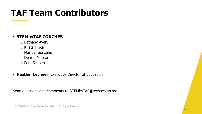## **TAF Team Contributors**

#### ▪ **STEMbyTAF COACHES**

- o Bethany Avery
- o Krista Finke
- o Maribel Gonzalez
- o Denise McLean
- o Pete Schoen
- **EXECUTE: Heather Lechner, Executive Director of Education**

Send questions and comments to STEMbyTAF@techaccess.org